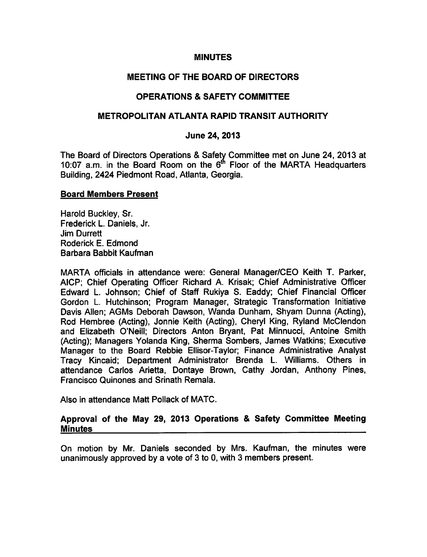#### **MINUTES**

## MEETING OF THE BOARD OF DIRECTORS

## OPERATIONS & SAFETY COMMITTEE

### METROPOLITAN ATLANTA RAPID TRANSIT AUTHORITY

#### June 24, 2013

The Board of Directors Operations & Safety Committee met on June 24, 2013 at 10:07 a.m. in the Board Room on the  $6<sup>th</sup>$  Floor of the MARTA Headquarters Building, 2424 Piedmont Road, Atlanta, Georgia.

#### Board Members Present

Harold Buckley, Sr. Frederick L. Daniels, Jr. Jim Durrett Roderick E. Edmond Barbara Babbit Kaufman

MARTA officials in attendance were: General Manager/CEO Keith T. Parker, AICP; Chief Operating Officer Richard A. Krisak; Chief Administrative Officer Edward L. Johnson; Chief of Staff Rukiya S. Eaddy; Chief Financial Officer Gordon L. Hutchinson; Program Manager, Strategic Transformation Initiative Davis Allen; AGMs Deborah Dawson, Wanda Dunham, Shyam Dunna (Acting), Rod Hembree (Acting), Jonnie Keith (Acting), Cheryl King, Ryland McClendon and Elizabeth O'Neill; Directors Anton Bryant, Pat Minnucci, Antoine Smith (Acting); Managers Yolanda King, Sherma Sombers, James Watkins; Executive Manager to the Board Rebbie Ellisor-Taylor; Finance Administrative Analyst Tracy Kincaid; Department Administrator Brenda L. Williams. Others in attendance Carlos Arietta, Dontaye Brown, Cathy Jordan, Anthony Pines, Francisco Quinones and Srinath Remala.

Also in attendance Matt Pollack of MATC.

### Approval of the May 29, 2013 Operations & Safety Committee Meeting **Minutes**

On motion by Mr. Daniels seconded by Mrs. Kaufman, the minutes were unanimously approved by a vote of 3 to 0, with 3 members present.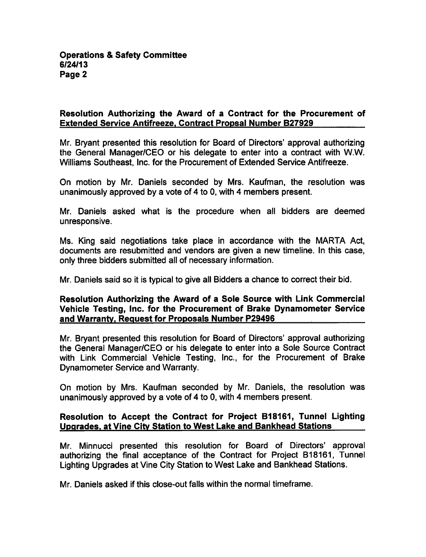### Resolution Authorizing the Award of a Contract for the Procurement of Extended Service Antifreeze. Contract Propsal Number B27929

Mr. Bryant presented this resolution for Board of Directors' approval authorizing the General Manager/CEO or his delegate to enter into a contract with W.W. Williams Southeast, Inc. for the Procurement of Extended Service Antifreeze.

On motion by Mr. Daniels seconded by Mrs. Kaufman, the resolution was unanimously approved by a vote of 4 to 0, with 4 members present.

Mr. Daniels asked what is the procedure when all bidders are deemed unresponsive.

Ms. King said negotiations take place in accordance with the MARTA Act, documents are resubmitted and vendors are given a new timeline. In this case, only three bidders submitted all of necessary information.

Mr. Daniels said so it is typical to give all Bidders a chance to correct their bid.

### Resolution Authorizing the Award of a Sole Source with Link Commercial Vehicle Testing, Inc. for the Procurement of Brake Dynamometer Service and Warranty. Request for Proposals Number P29496

Mr. Bryant presented this resolution for Board of Directors' approval authorizing the General Manager/CEO or his delegate to enter into a Sole Source Contract with Link Commercial Vehicle Testing, Inc., for the Procurement of Brake Dynamometer Service and Warranty.

On motion by Mrs. Kaufman seconded by Mr. Daniels, the resolution was unanimously approved by a vote of 4 to 0, with 4 members present.

## Resolution to Accept the Contract for Project B18161, Tunnel Lighting Upgrades, at Vine City Station to West Lake and Bankhead Stations

Mr. Minnucci presented this resolution for Board of Directors' approval authorizing the final acceptance of the Contract for Project B18161, Tunnel Lighting Upgrades at Vine City Station to West Lake and Bankhead Stations.

Mr. Daniels asked if this close-out falls within the normal timeframe.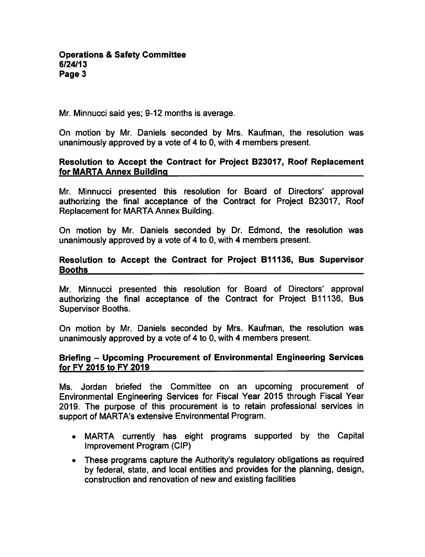Mr. Minnucci said yes; 9-12 months is average.

On motion by Mr. Daniels seconded by Mrs. Kaufman, the resolution was unanimously approved by a vote of 4 to 0, with 4 members present.

## Resolution to Accept the Contract for Project B23017, Roof Replacement for MARTA Annex Building

Mr. Minnucci presented this resolution for Board of Directors' approval authorizing the final acceptance of the Contract for Project B23017, Roof Replacement for MARTA Annex Building.

On motion by Mr. Daniels seconded by Dr. Edmond, the resolution was unanimously approved by a vote of 4 to 0, with 4 members present.

### Resolution to Accept the Contract for Project B11136, Bus Supervisor Booths

Mr. Minnucci presented this resolution for Board of Directors' approval authorizing the final acceptance of the Contract for Project B11136, Bus Supervisor Booths.

On motion by Mr. Daniels seconded by Mrs. Kaufman, the resolution was unanimously approved by a vote of 4 to 0, with 4 members present.

### Briefing - Upcoming Procurement of Environmental Engineering Services for FY 2015 to FY 2019

Ms. Jordan briefed the Committee on an upcoming procurement of Environmental Engineering Services for Fiscal Year 2015 through Fiscal Year 2019. The purpose of this procurement is to retain professional services in support of MARTA's extensive Environmental Program.

- MARTA currently has eight programs supported by the Capital Improvement Program (CIP)
- These programs capture the Authority's regulatory obligations as required by federal, state, and local entities and provides for the planning, design, construction and renovation of new and existing facilities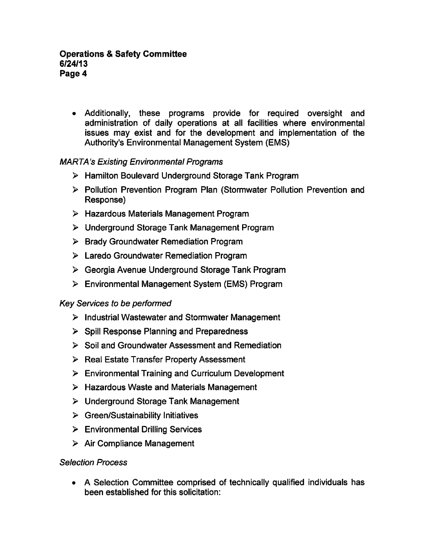Additionally, these programs provide for required oversight and administration of daily operations at all facilities where environmental issues may exist and for the development and implementation of the Authority's Environmental Management System (EMS)

# MARTA's Existing Environmental Programs

- Hamilton Boulevard Underground Storage Tank Program
- Pollution Prevention Program Plan (Stormwater Pollution Prevention and Response)
- $\triangleright$  Hazardous Materials Management Program
- Underground Storage Tank Management Program
- $\triangleright$  Brady Groundwater Remediation Program
- Laredo Groundwater Remediation Program
- Georgia Avenue Underground Storage Tank Program
- Environmental Management System (EMS) Program

## Key Services to be performed

- $\triangleright$  Industrial Wastewater and Stormwater Management
- $\triangleright$  Spill Response Planning and Preparedness
- $\triangleright$  Soil and Groundwater Assessment and Remediation
- $\triangleright$  Real Estate Transfer Property Assessment
- Environmental Training and Curriculum Development
- $\triangleright$  Hazardous Waste and Materials Management
- Underground Storage Tank Management
- $\triangleright$  Green/Sustainability Initiatives
- Environmental Drilling Services
- $\triangleright$  Air Compliance Management

## Selection Process

• A Selection Committee comprised of technically qualified individuals has been established for this solicitation: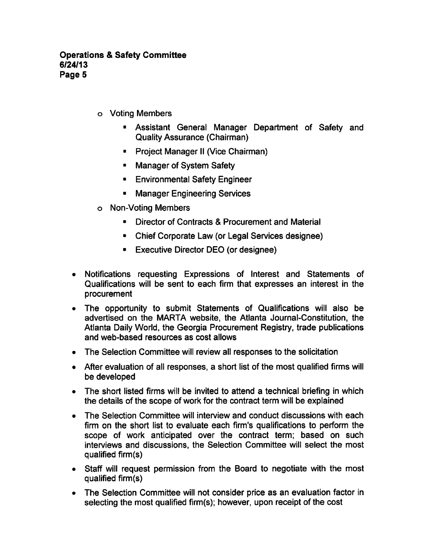- Voting Members
	- Assistant General Manager Department of Safety and Quality Assurance (Chairman)
	- **Project Manager II (Vice Chairman)**
	- **Manager of System Safety**
	- **Environmental Safety Engineer**
	- **Manager Engineering Services**
- Non-Voting Members
	- Director of Contracts & Procurement and Material
	- Chief Corporate Law (or Legal Services designee)
	- Executive Director DEO (or designee)
- Notifications requesting Expressions of Interest and Statements of Qualifications will be sent to each firm that expresses an interest in the procurement
- The opportunity to submit Statements of Qualifications will also be  $\bullet$ advertised on the MARTA website, the Atlanta Journal-Constitution, the Atlanta Daily World, the Georgia Procurement Registry, trade publications and web-based resources as cost allows
- The Selection Committee will review all responses to the solicitation  $\bullet$
- After evaluation of all responses, a short list of the most qualified firms will be developed
- The short listed firms will be invited to attend a technical briefing in which the details of the scope of work for the contract term will be explained
- The Selection Committee will interview and conduct discussions with each  $\bullet$ firm on the short list to evaluate each firm's qualifications to perform the scope of work anticipated over the contract term; based on such interviews and discussions, the Selection Committee will select the most qualified firm(s)
- Staff will request permission from the Board to negotiate with the most qualified firm(s)
- The Selection Committee will not consider price as an evaluation factor in selecting the most qualified firm(s); however, upon receipt of the cost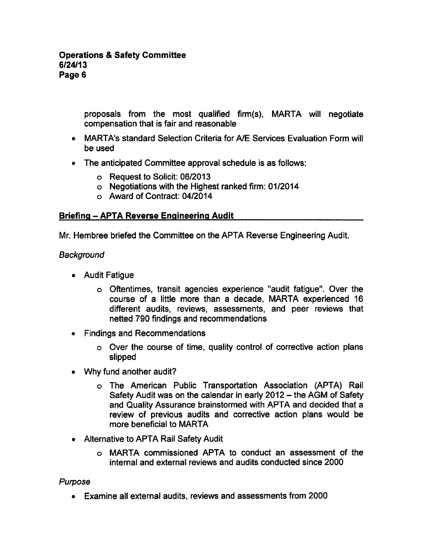proposals from the most qualified firm(s), MARTA will negotiate compensation that is fair and reasonable

- MARTA's standard Selection Criteria for A/E Services Evaluation Form will be used
- The anticipated Committee approval schedule is as follows:
	- Request to Solicit: 06/2013
	- Negotiations with the Highest ranked firm: 01/2014
	- Award of Contract: 04/2014

## Briefing APTA Reverse Engineering Audit

Mr. Hembree briefed the Committee on the APTA Reverse Engineering Audit.

# **Background**

- Audit Fatigue
	- Oftentimes, transit agencies experience "audit fatigue". Over the course of a little more than a decade, MARTA experienced 16 different audits, reviews, assessments, and peer reviews that netted 790 findings and recommendations
- Findings and Recommendations
	- Over the course of time, quality control of corrective action plans slipped
- Why fund another audit?
	- The American Public Transportation Association (APTA) Rail Safety Audit was on the calendar in early 2012 – the AGM of Safety and Quality Assurance brainstormed with APTA and decided that review of previous audits and corrective action plans would be more beneficial to MARTA
- Alternative to APTA Rail Safety Audit
	- MARTA commissioned APTA to conduct an assessment of the internal and external reviews and audits conducted since 2000

## Purpose

Examine all external audits, reviews and assessments from 2000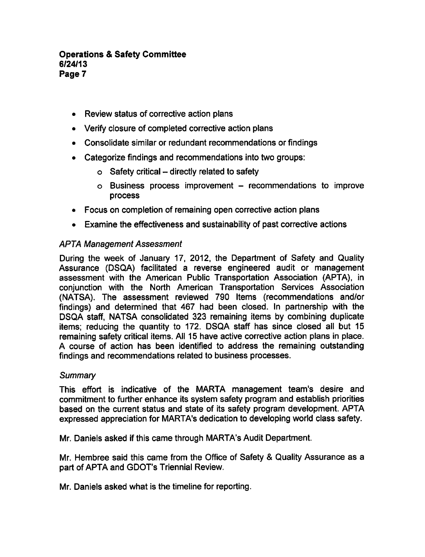- Review status of corrective action plans
- Verify closure of completed corrective action plans
- Consolidate similar or redundant recommendations or findings
- Categorize findings and recommendations into two groups:
	- $\circ$  Safety critical directly related to safety
	- $o$  Business process improvement  $-$  recommendations to improve process
- Focus on completion of remaining open corrective action plans
- Examine the effectiveness and sustainability of past corrective actions

# APTA Management Assessment

During the week of January 17, 2012, the Department of Safety and Quality Assurance (DSQA) facilitated a reverse engineered audit or management assessment with the American Public Transportation Association (APTA), in conjunction with the North American Transportation Services Association (NATSA). The assessment reviewed 790 Items (recommendations and/or findings) and determined that 467 had been closed. In partnership with the DSQA staff, NATSA consolidated 323 remaining items by combining duplicate items; reducing the quantity to 172. DSQA staff has since closed all but <sup>15</sup> remaining safety critical items. All 15 have active corrective action plans in place. course of action has been identified to address the remaining outstanding findings and recommendations related to business processes.

## **Summary**

This effort is indicative of the MARTA management team's desire and commitment to further enhance its system safety program and establish priorities based on the current status and state of its safety program development. APTA expressed appreciation for MARTA's dedication to developing world class safety.

Mr. Daniels asked if this came through MARTA's Audit Department.

Mr. Hembree said this came from the Office of Safety & Quality Assurance as a part of APTA and GDOT's Triennial Review.

Mr. Daniels asked what is the timeline for reporting.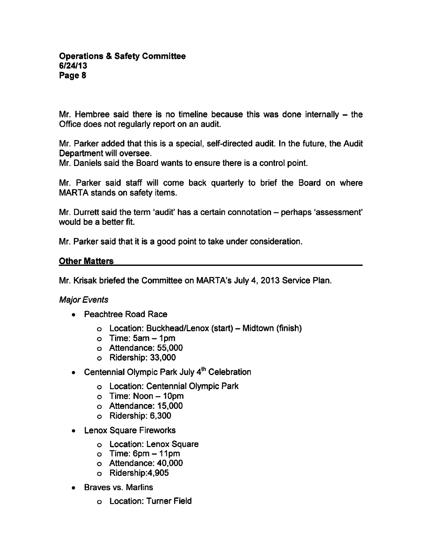Mr. Hembree said there is no timeline because this was done internally  $-$  the Office does not regularly report on an audit.

Mr. Parker added that this is a special, self-directed audit. In the future, the Audit Department will oversee.

Mr. Daniels said the Board wants to ensure there is a control point.

Mr. Parker said staff will come back quarterly to brief the Board on where MARTA stands on safety items.

Mr. Durrett said the term 'audit' has a certain connotation – perhaps 'assessment' would be a better fit.

Mr. Parker said that it is a good point to take under consideration.

### Other Matters

Mr. Krisak briefed the Committee on MARTA's July 4, 2013 Service Plan.

#### Major Events

- Peachtree Road Race
	- $\circ$  Location: Buckhead/Lenox (start) Midtown (finish)
	- $\circ$  Time: 5am  $-1$ pm
	- Attendance: 55,000
	- Ridership: 33,000
- Centennial Olympic Park July  $4<sup>th</sup>$  Celebration
	- Location: Centennial Olympic Park
	- Time: Noon-10pm
	- Attendance: 15,000
	- Ridership: 6,300
- Lenox Square Fireworks
	- Location: Lenox Square
	- $\circ$  Time: 6pm  $-11$ pm
	- Attendance: 40,000
	- Ridership:4,905
- Braves vs. Marlins
	- Location: Turner Field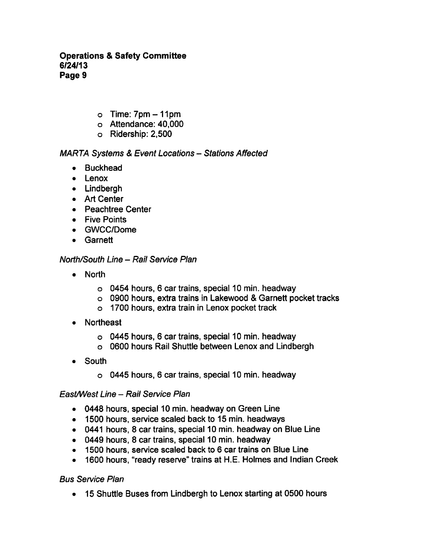- $o$  Time:  $7pm-11pm$
- Attendance: 40,000
- Ridership: 2,500

# MARTA Systems & Event Locations - Stations Affected

- Buckhead
- Lenox
- Lindbergh
- Art Center
- Peachtree Center
- **•** Five Points
- GWCC/Dome
- Garnett

# North/South Line - Rail Service Plan

- North
	- $\circ$  0454 hours, 6 car trains, special 10 min. headway
	- o 0900 hours, extra trains in Lakewood Garnett pocket tracks
	- 1700 hours, extra train in Lenox pocket track
- Northeast  $\bullet$ 
	- o 0445 hours, 6 car trains, special 10 min. headway
	- 0600 hours Rail Shuttle between Lenox and Lindbergh
- South
	- $\circ$  0445 hours, 6 car trains, special 10 min. headway

## East/West Line - Rail Service Plan

- 0448 hours, special 10 min. headway on Green Line
- 1500 hours, service scaled back to 15 min. headways
- $\bullet$  0441 hours, 8 car trains, special 10 min. headway on Blue Line
- $\bullet$  0449 hours, 8 car trains, special 10 min. headway
- 1500 hours, service scaled back to 6 car trains on Blue Line
- 1600 hours, "ready reserve" trains at H.E. Holmes and Indian Creek

## Bus Service Plan

15 Shuttle Buses from Lindbergh to Lenox starting at 0500 hours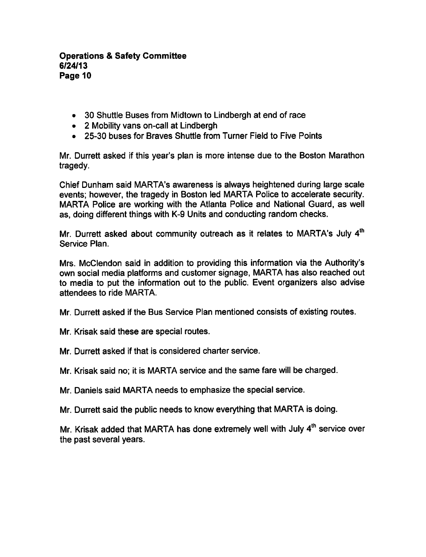- 30 Shuttle Buses from Midtown to Lindbergh at end of race
- 2 Mobility vans on-call at Lindbergh
- 25-30 buses for Braves Shuttle from Turner Field to Five Points

Mr. Durrett asked if this year's plan is more intense due to the Boston Marathon tragedy.

Chief Dunham said MARTA's awareness is always heightened during large scale events; however, the tragedy in Boston led MARTA Police to accelerate security. MARTA Police are working with the Atlanta Police and National Guard, as well as, doing different things with K-9 Units and conducting random checks.

Mr. Durrett asked about community outreach as it relates to MARTA's July 4<sup>th</sup> Service Plan.

Mrs. McClendon said in addition to providing this information via the Authority's own social media platforms and customer signage, MARTA has also reached out to media to put the information out to the public. Event organizers also advise attendees to ride MARTA.

Mr. Durrett asked if the Bus Service Plan mentioned consists of existing routes.

Mr. Krisak said these are special routes.

Mr. Durrett asked if that is considered charter service.

Mr. Krisak said no; it is MARTA service and the same fare will be charged.

Mr. Daniels said MARTA needs to emphasize the special service.

Mr. Durrett said the public needs to know everything that MARTA is doing.

Mr. Krisak added that MARTA has done extremely well with July 4<sup>th</sup> service over the past several years.